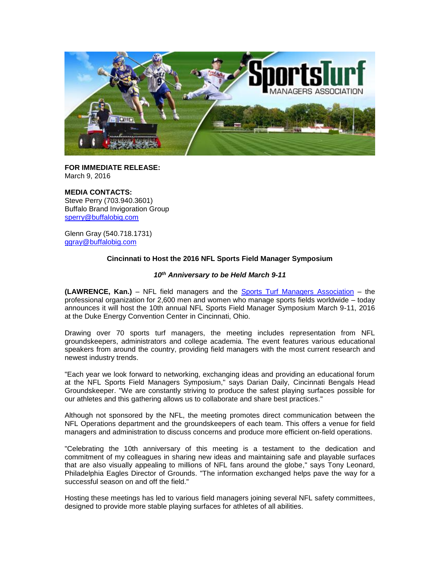

**FOR IMMEDIATE RELEASE:** March 9, 2016

# **MEDIA CONTACTS:**

Steve Perry (703.940.3601) Buffalo Brand Invigoration Group [sperry@buffalobig.com](mailto:sperry@buffalobig.com)

Glenn Gray (540.718.1731) [ggray@buffalobig.com](mailto:ggray@buffalobig.com)

# **Cincinnati to Host the 2016 NFL Sports Field Manager Symposium**

### *10th Anniversary to be Held March 9-11*

**(LAWRENCE, Kan.)** – NFL field managers and the [Sports Turf Managers Association](http://www.stma.org/) – the professional organization for 2,600 men and women who manage sports fields worldwide – today announces it will host the 10th annual NFL Sports Field Manager Symposium March 9-11, 2016 at the Duke Energy Convention Center in Cincinnati, Ohio.

Drawing over 70 sports turf managers, the meeting includes representation from NFL groundskeepers, administrators and college academia. The event features various educational speakers from around the country, providing field managers with the most current research and newest industry trends.

"Each year we look forward to networking, exchanging ideas and providing an educational forum at the NFL Sports Field Managers Symposium," says Darian Daily, Cincinnati Bengals Head Groundskeeper. "We are constantly striving to produce the safest playing surfaces possible for our athletes and this gathering allows us to collaborate and share best practices."

Although not sponsored by the NFL, the meeting promotes direct communication between the NFL Operations department and the groundskeepers of each team. This offers a venue for field managers and administration to discuss concerns and produce more efficient on-field operations.

"Celebrating the 10th anniversary of this meeting is a testament to the dedication and commitment of my colleagues in sharing new ideas and maintaining safe and playable surfaces that are also visually appealing to millions of NFL fans around the globe," says Tony Leonard, Philadelphia Eagles Director of Grounds. "The information exchanged helps pave the way for a successful season on and off the field."

Hosting these meetings has led to various field managers joining several NFL safety committees, designed to provide more stable playing surfaces for athletes of all abilities.